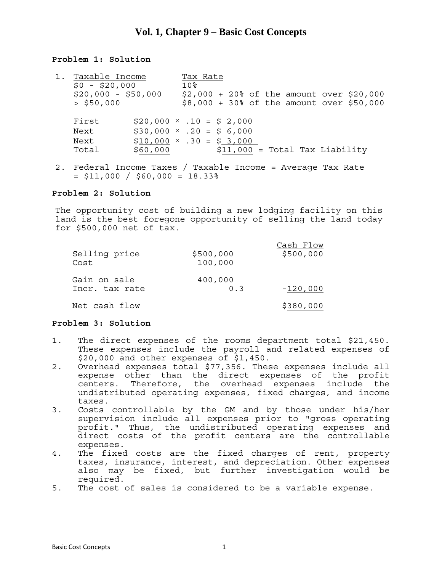# **Vol. 1, Chapter 9 – Basic Cost Concepts**

## **Problem 1: Solution**

- 1. Taxable Income Tax Rate<br>\$0 \$20,000 10% \$20,000 - \$50,000 \$2,000 + 20% of the amount over \$20,000  $>$  \$50,000  $\,$  \$8,000 + 30% of the amount over \$50,000 First  $$20,000 \times .10 = $2,000$ Next  $$30,000 \times .20 = $6,000$ Next  $$10,000 \times .30 = $3,000$ Total \$60,000 \$11,000 = Total Tax Liability
- 2. Federal Income Taxes / Taxable Income = Average Tax Rate  $=$  \$11,000 / \$60,000 = 18.33%

### **Problem 2: Solution**

The opportunity cost of building a new lodging facility on this land is the best foregone opportunity of selling the land today for \$500,000 net of tax.

| Selling price<br>Cost          | \$500,000<br>100,000 | Cash Flow<br>\$500,000 |
|--------------------------------|----------------------|------------------------|
| Gain on sale<br>Incr. tax rate | 400,000<br>0 R       | -120,000               |
| Net cash flow                  |                      | \$380,000              |

### **Problem 3: Solution**

- 1. The direct expenses of the rooms department total \$21,450. These expenses include the payroll and related expenses of \$20,000 and other expenses of \$1,450.
- 2. Overhead expenses total \$77,356. These expenses include all expense other than the direct expenses of the profit centers. Therefore, the overhead expenses include the undistributed operating expenses, fixed charges, and income taxes.
- 3. Costs controllable by the GM and by those under his/her supervision include all expenses prior to "gross operating profit." Thus, the undistributed operating expenses and direct costs of the profit centers are the controllable expenses.
- 4. The fixed costs are the fixed charges of rent, property taxes, insurance, interest, and depreciation. Other expenses also may be fixed, but further investigation would be required.
- 5. The cost of sales is considered to be a variable expense.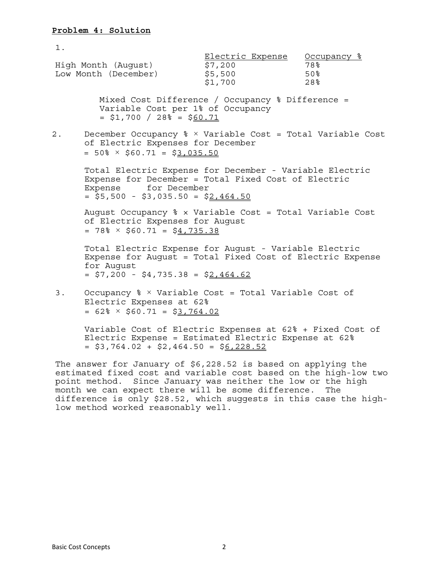1. Electric Expense Occupancy % High Month (August) \$7,200 78% Low Month (December)  $$5,500$  50% \$1,700 28% Mixed Cost Difference / Occupancy % Difference = Variable Cost per 1% of Occupancy  $= $1,700 / 28$  $= $60.71$ 2. December Occupancy % × Variable Cost = Total Variable Cost of Electric Expenses for December  $= 50\% \times $60.71 = $3,035.50$  Total Electric Expense for December - Variable Electric Expense for December = Total Fixed Cost of Electric Expense for December  $=$  \$5,500 - \$3,035.50 = \$2,464.50 August Occupancy % × Variable Cost = Total Variable Cost of Electric Expenses for August  $= 78\% \times $60.71 = $4,735.38$  Total Electric Expense for August - Variable Electric Expense for August = Total Fixed Cost of Electric Expense for August  $=$  \$7,200 - \$4,735.38 = \$2,464.62 3. Occupancy % × Variable Cost = Total Variable Cost of Electric Expenses at 62%  $= 62\% \times $60.71 = $3,764.02$ 

 Variable Cost of Electric Expenses at 62% + Fixed Cost of Electric Expense = Estimated Electric Expense at 62%  $=$  \$3,764.02 + \$2,464.50 = \$6,228.52

The answer for January of \$6,228.52 is based on applying the estimated fixed cost and variable cost based on the high-low two point method. Since January was neither the low or the high month we can expect there will be some difference. The difference is only \$28.52, which suggests in this case the highlow method worked reasonably well.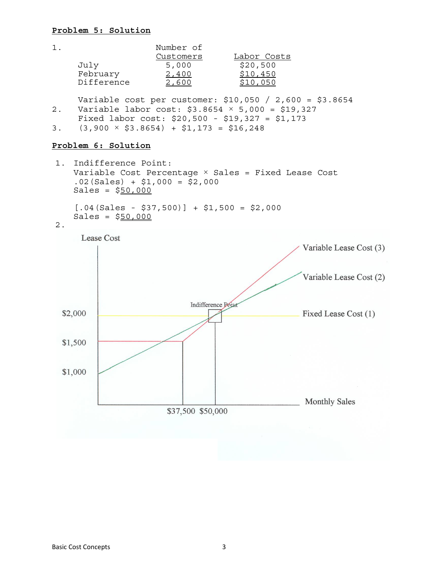## **Problem 5: Solution**

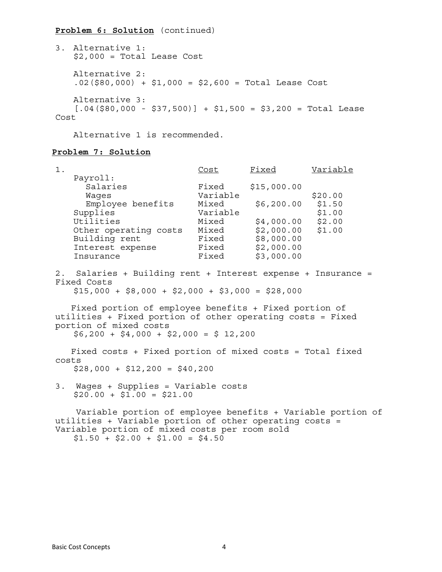## **Problem 6: Solution** (continued)

3. Alternative 1: \$2,000 = Total Lease Cost Alternative 2:  $.02$ (\$80,000) + \$1,000 = \$2,600 = Total Lease Cost Alternative 3:  $[.04(\$80,000 - $37,500)] + $1,500 = $3,200 = Total Least$ Cost

Alternative 1 is recommended.

## **Problem 7: Solution**

| 1.    |                                                                                                                                                                                                            | <u>Cost</u> | Fixed               | Variable |
|-------|------------------------------------------------------------------------------------------------------------------------------------------------------------------------------------------------------------|-------------|---------------------|----------|
|       | Payroll:                                                                                                                                                                                                   |             |                     |          |
|       | Salaries                                                                                                                                                                                                   | Fixed       | \$15,000.00         |          |
|       | Waqes                                                                                                                                                                                                      | Variable    |                     | \$20.00  |
|       | Employee benefits                                                                                                                                                                                          | Mixed       | \$6,200.00          | \$1.50   |
|       | Supplies                                                                                                                                                                                                   | Variable    |                     | \$1.00   |
|       | Utilities                                                                                                                                                                                                  | Mixed       | $$4,000.00$ $$2.00$ |          |
|       | Other operating costs                                                                                                                                                                                      |             | Mixed \$2,000.00    | \$1.00   |
|       | Building rent                                                                                                                                                                                              | Fixed       | \$8,000.00          |          |
|       | Interest expense                                                                                                                                                                                           | Fixed       | \$2,000.00          |          |
|       | Insurance                                                                                                                                                                                                  | Fixed       | \$3,000.00          |          |
|       | 2. Salaries + Building rent + Interest expense + Insurance =<br>Fixed Costs<br>$$15,000 + $8,000 + $2,000 + $3,000 = $28,000$                                                                              |             |                     |          |
|       | Fixed portion of employee benefits + Fixed portion of<br>utilities + Fixed portion of other operating costs = Fixed<br>portion of mixed costs<br>$$6,200 + $4,000 + $2,000 = $12,200$                      |             |                     |          |
|       | Fixed costs + Fixed portion of mixed costs = Total fixed                                                                                                                                                   |             |                     |          |
| costs | $$28,000 + $12,200 = $40,200$                                                                                                                                                                              |             |                     |          |
|       | 3. Wages + Supplies = Variable costs<br>$$20.00 + $1.00 = $21.00$                                                                                                                                          |             |                     |          |
|       | Variable portion of employee benefits + Variable portion of<br>utilities + Variable portion of other operating costs =<br>Variable portion of mixed costs per room sold<br>$$1.50 + $2.00 + $1.00 = $4.50$ |             |                     |          |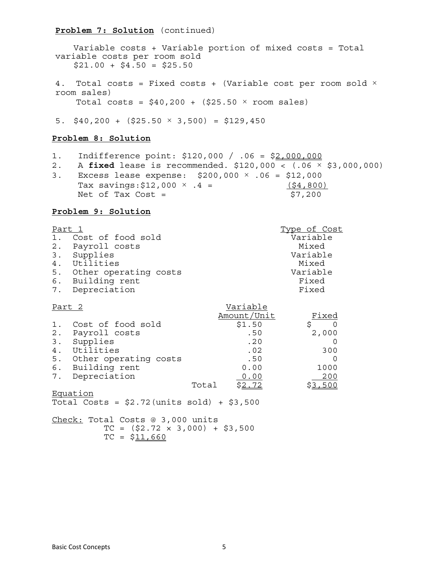### **Problem 7: Solution** (continued)

 Variable costs + Variable portion of mixed costs = Total variable costs per room sold  $$21.00 + $4.50 = $25.50$ 4. Total costs = Fixed costs + (Variable cost per room sold  $\times$ room sales) Total costs =  $$40,200 + ($25.50 \times room sales)$ 5.  $$40,200 + ($25.50 \times 3,500) = $129,450$ 

#### **Problem 8: Solution**

- 1. Indifference point: \$120,000 / .06 = \$2,000,000
- 2. A **fixed** lease is recommended. \$120,000 < (.06 × \$3,000,000) 3. Excess lease expense: \$200,000 × .06 = \$12,000 Tax savings:  $$12,000 \times .4 =$  ( $$4,800$ ) Net of Tax  $Cost =$  \$7,200

#### **Problem 9: Solution**

| Part 1 |                          | Type of Cost |
|--------|--------------------------|--------------|
|        | 1. Cost of food sold     | Variable     |
|        | 2. Payroll costs         | Mixed        |
|        | 3. Supplies              | Variable     |
|        | 4. Utilities             | Mixed        |
|        | 5. Other operating costs | Variable     |
|        | 6. Building rent         | Fixed        |
|        | 7. Depreciation          | Fixed        |

| Part 2 |                       |       | Variable    |         |
|--------|-----------------------|-------|-------------|---------|
|        |                       |       | Amount/Unit | Fixed   |
| 1.     | Cost of food sold     |       | \$1.50      |         |
| 2.     | Payroll costs         |       | .50         | 2,000   |
| 3.     | Supplies              |       | .20         |         |
| 4.     | Utilities             |       | .02         | 300     |
| 5.     | Other operating costs |       | .50         |         |
| 6.     | Building rent         |       | 0.00        | 1000    |
| 7.     | Depreciation          |       | 0.00        | 200     |
|        |                       | Total | \$2.72      | \$3,500 |
|        | Equation              |       |             |         |

Total Costs =  $$2.72$  (units sold) +  $$3.500$ 

Check: Total Costs @ 3,000 units  $TC = (52.72 \times 3,000) + 53,500$  $TC = $11,660$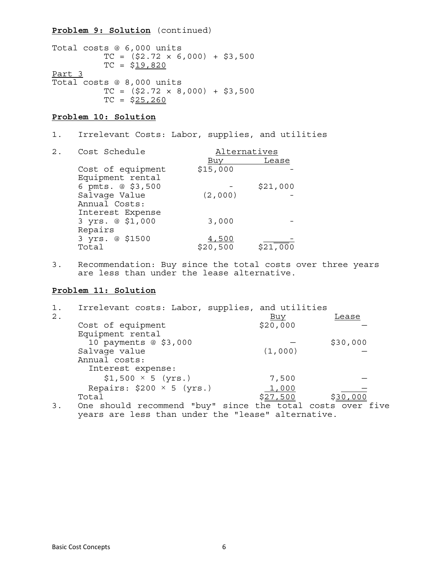### **Problem 9: Solution** (continued)

Total costs @ 6,000 units  $TC = ( $2.72 \times 6,000 ) + $3,500$  $TC = $19,820$ Part 3 Total costs @ 8,000 units  $TC = ( $2.72 \times 8,000) + $3,500$  $TC = $25,260$ 

## **Problem 10: Solution**

- 1. Irrelevant Costs: Labor, supplies, and utilities
- 2. Cost Schedule **Alternatives**  Buy Lease Cost of equipment  $$15,000$  Equipment rental 6 pmts. @ \$3,500 - \$21,000<br>Salvage Value (2,000) -Salvage Value Annual Costs: Interest Expense 3 yrs. @ \$1,000 3,000 - Repairs 3 yrs. @ \$1500  $\frac{4,500}{20,500}$   $\frac{1}{521,000}$
- 3. Recommendation: Buy since the total costs over three years are less than under the lease alternative.

## **Problem 11: Solution**

| 1. | Irrelevant costs: Labor, supplies, and utilities           |            |          |
|----|------------------------------------------------------------|------------|----------|
| 2. |                                                            | <u>Buy</u> | Lease    |
|    | Cost of equipment                                          | \$20,000   |          |
|    | Equipment rental                                           |            |          |
|    | 10 payments @ \$3,000                                      |            | \$30,000 |
|    | Salvage value                                              | (1,000)    |          |
|    | Annual costs:                                              |            |          |
|    | Interest expense:                                          |            |          |
|    | $$1,500 \times 5 (yrs.)$                                   | 7,500      |          |
|    | Repairs: $$200 \times 5$ (yrs.)                            | 1,000      |          |
|    | Total                                                      | \$27,500   | \$30,000 |
| 3. | One should recommend "buy" since the total costs over five |            |          |

years are less than under the "lease" alternative.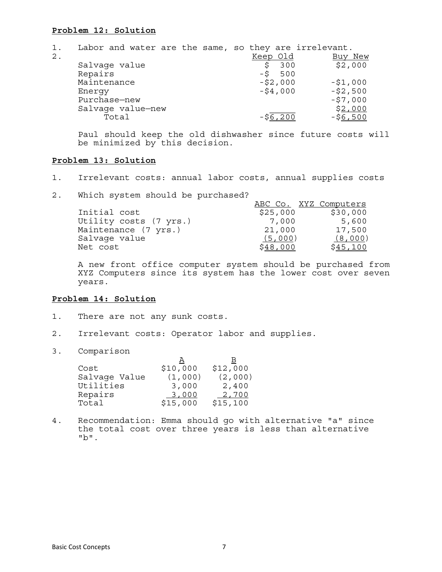### **Problem 12: Solution**

| 1.    | Labor and water are the same, so they are irrelevant. |  |          |           |            |
|-------|-------------------------------------------------------|--|----------|-----------|------------|
| $2$ . |                                                       |  | Keep Old |           | Buy New    |
|       | Salvage value                                         |  |          | 300       | \$2,000    |
|       | Repairs                                               |  |          | $-5$ 500  |            |
|       | Maintenance                                           |  |          | $-52,000$ | $-51,000$  |
|       | Energy                                                |  |          | $-54,000$ | $- $2,500$ |
|       | Purchase-new                                          |  |          |           | $-57,000$  |
|       | Salvage value-new                                     |  |          |           | \$2,000    |
|       | Total                                                 |  |          | -S6.200   | $-56,500$  |

 Paul should keep the old dishwasher since future costs will be minimized by this decision.

### **Problem 13: Solution**

- 1. Irrelevant costs: annual labor costs, annual supplies costs
- 2. Which system should be purchased?

|                        | ABC Co. XYZ Computers |          |
|------------------------|-----------------------|----------|
| Initial cost           | \$25,000              | \$30,000 |
| Utility costs (7 yrs.) | 7,000                 | 5,600    |
| Maintenance (7 yrs.)   | 21,000                | 17,500   |
| Salvage value          | (5,000)               | (8,000)  |
| Net cost               | <u>\$48,000</u>       | \$45,100 |

A new front office computer system should be purchased from XYZ Computers since its system has the lower cost over seven years.

### **Problem 14: Solution**

- 1. There are not any sunk costs.
- 2. Irrelevant costs: Operator labor and supplies.
- 3. Comparison

| Cost          | \$10,000 | \$12,000 |
|---------------|----------|----------|
| Salvage Value | (1,000)  | (2,000)  |
| Utilities     | 3,000    | 2,400    |
| Repairs       | 3,000    | 2,700    |
| Total         | \$15,000 | \$15,100 |

4. Recommendation: Emma should go with alternative "a" since the total cost over three years is less than alternative "b".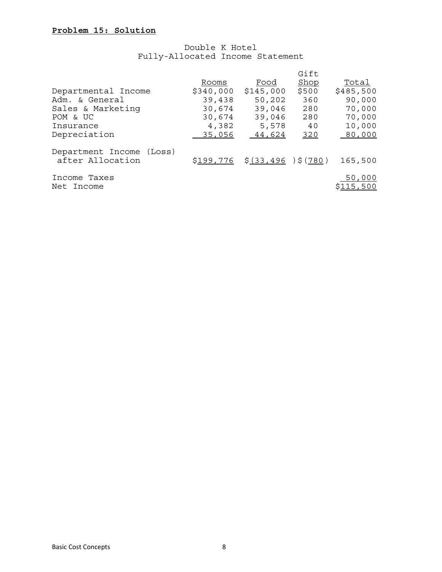## Double K Hotel Fully-Allocated Income Statement

|                          |           |                       | Gift  |           |
|--------------------------|-----------|-----------------------|-------|-----------|
|                          | Rooms     | Food                  | Shop  | Total     |
| Departmental Income      | \$340,000 | \$145,000             | \$500 | \$485,500 |
| Adm. & General           | 39,438    | 50,202                | 360   | 90,000    |
| Sales & Marketing        | 30,674    | 39,046                | 280   | 70,000    |
| POM & UC                 | 30,674    | 39,046                | 280   | 70,000    |
| Insurance                | 4,382     | 5,578                 | - 40  | 10,000    |
| Depreciation             | 35,056    | 44,624                | 320   | 80,000    |
| Department Income (Loss) |           |                       |       |           |
| after Allocation         | \$199,776 | $$(33, 496)$ $$(780)$ |       | 165,500   |
| Income Taxes             |           |                       |       | 50,000    |
| Net Income               |           |                       |       | \$115,500 |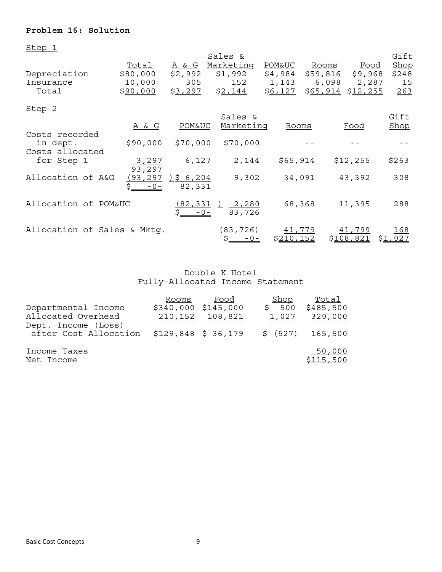# **Problem 16: Solution**

Step 1

|                             |                  |                   | Sales &                |                   |                      | Gift        |
|-----------------------------|------------------|-------------------|------------------------|-------------------|----------------------|-------------|
|                             | Total            | <u>A &amp; G</u>  | Marketing              | <b>POM&amp;UC</b> | Rooms<br><u>Food</u> | Shop        |
| Depreciation                | \$80,000         | \$2,992           | \$1,992                | \$4,984           | \$59,816<br>\$9,968  | \$248       |
| Insurance                   | 10,000           | 305               | 152                    | 1,143             | 2,287<br>6,098       | <u>_15</u>  |
| Total                       | \$90,000         | \$3,297           | \$2,144                | \$6,127           | \$65,914<br>\$12,255 | 263         |
| Step <sub>2</sub>           |                  |                   |                        |                   |                      |             |
|                             |                  |                   | Sales &                |                   |                      | Gift        |
|                             | <u>A &amp; G</u> | <b>POM&amp;UC</b> | Marketing              | Rooms             | Food                 | Shop        |
| Costs recorded              |                  |                   |                        |                   |                      |             |
| in dept.                    | \$90,000         | \$70,000          | \$70,000               |                   |                      |             |
| Costs allocated             |                  |                   |                        |                   |                      |             |
| for Step 1                  | 3,297            | 6,127             | 2,144                  | \$65,914          | \$12,255             | \$263       |
|                             | 93,297           |                   |                        |                   |                      |             |
| Allocation of A&G           | (93, 297)        | 356,204           | 9,302                  | 34,091            | 43,392               | 308         |
|                             | $-0-$            | 82,331            |                        |                   |                      |             |
|                             |                  |                   |                        |                   |                      |             |
| Allocation of POM&UC        |                  | (82, 331)         | 2,280                  | 68,368            | 11,395               | 288         |
|                             |                  | $-0-$             | 83,726                 |                   |                      |             |
| Allocation of Sales & Mktq. |                  |                   | (83, 726)              | 41,779            | 41,799               | <u> 168</u> |
|                             |                  |                   | <u> Ş____</u><br>$-0-$ | <u>\$210,152</u>  | \$108,821            | <u>Ş1</u>   |
|                             |                  |                   |                        |                   |                      |             |

 Double K Hotel Fully-Allocated Income Statement

|                       | Rooms                | Food    | Shop      | Total     |
|-----------------------|----------------------|---------|-----------|-----------|
| Departmental Income   | \$340,000 \$145,000  |         | \$500     | \$485,500 |
| Allocated Overhead    | 210,152              | 108,821 | 1,027     | 320,000   |
| Dept. Income (Loss)   |                      |         |           |           |
| after Cost Allocation | $$129,848$ \$ 36,179 |         | $$-(527)$ | 165,500   |
|                       |                      |         |           |           |
| Income Taxes          |                      |         |           | 50,000    |
| Net Income            |                      |         |           | \$115,500 |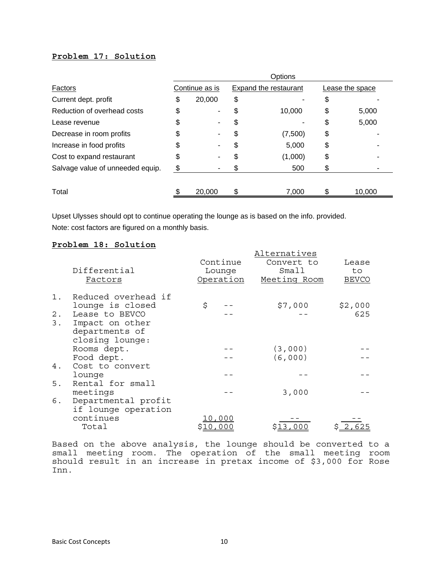## **Problem 17: Solution**

|                                  | Options |                |    |                              |    |                 |
|----------------------------------|---------|----------------|----|------------------------------|----|-----------------|
| Factors                          |         | Continue as is |    | <b>Expand the restaurant</b> |    | Lease the space |
| Current dept. profit             | \$      | 20,000         | \$ |                              | \$ |                 |
| Reduction of overhead costs      | \$      | ٠              | \$ | 10,000                       | \$ | 5,000           |
| Lease revenue                    | \$      |                | \$ |                              | \$ | 5,000           |
| Decrease in room profits         | \$      |                | \$ | (7,500)                      | \$ |                 |
| Increase in food profits         | S       |                | \$ | 5,000                        | \$ |                 |
| Cost to expand restaurant        | \$      |                | \$ | (1,000)                      | \$ |                 |
| Salvage value of unneeded equip. | S.      |                | S  | 500                          | \$ |                 |
|                                  |         |                |    |                              |    |                 |
| Total                            |         | 20,000         | \$ | 7,000                        | S  | 10,000          |

Upset Ulysses should opt to continue operating the lounge as is based on the info. provided. Note: cost factors are figured on a monthly basis.

### **Problem 18: Solution**

|       |                     |                 | Alternatives |  |              |                |
|-------|---------------------|-----------------|--------------|--|--------------|----------------|
|       |                     |                 | Continue     |  | Convert to   | Lease          |
|       | Differential        |                 | Lounge       |  | Small        | to.            |
|       | Factors             |                 | Operation    |  | Meeting Room | <b>BEVCO</b>   |
| $1$ . | Reduced overhead if |                 |              |  |              |                |
|       | lounge is closed    | \$              |              |  | \$7,000      | \$2,000        |
| $2$ . | Lease to BEVCO      |                 |              |  |              | 625            |
| 3.    | Impact on other     |                 |              |  |              |                |
|       | departments of      |                 |              |  |              |                |
|       | closing lounge:     |                 |              |  |              |                |
|       | Rooms dept.         |                 |              |  | (3,000)      |                |
|       | Food dept.          |                 |              |  | (6,000)      |                |
| 4.    | Cost to convert     |                 |              |  |              |                |
|       | lounge              |                 |              |  |              |                |
| 5.    | Rental for small    |                 |              |  |              |                |
|       | meetings            |                 |              |  | 3,000        |                |
| б.    | Departmental profit |                 |              |  |              |                |
|       | if lounge operation |                 |              |  |              |                |
|       | continues           |                 | 10,000       |  |              |                |
|       | Total               | <u>\$10,000</u> |              |  | \$13,000     | <u>\$2,625</u> |

Based on the above analysis, the lounge should be converted to a small meeting room. The operation of the small meeting room should result in an increase in pretax income of \$3,000 for Rose Inn.